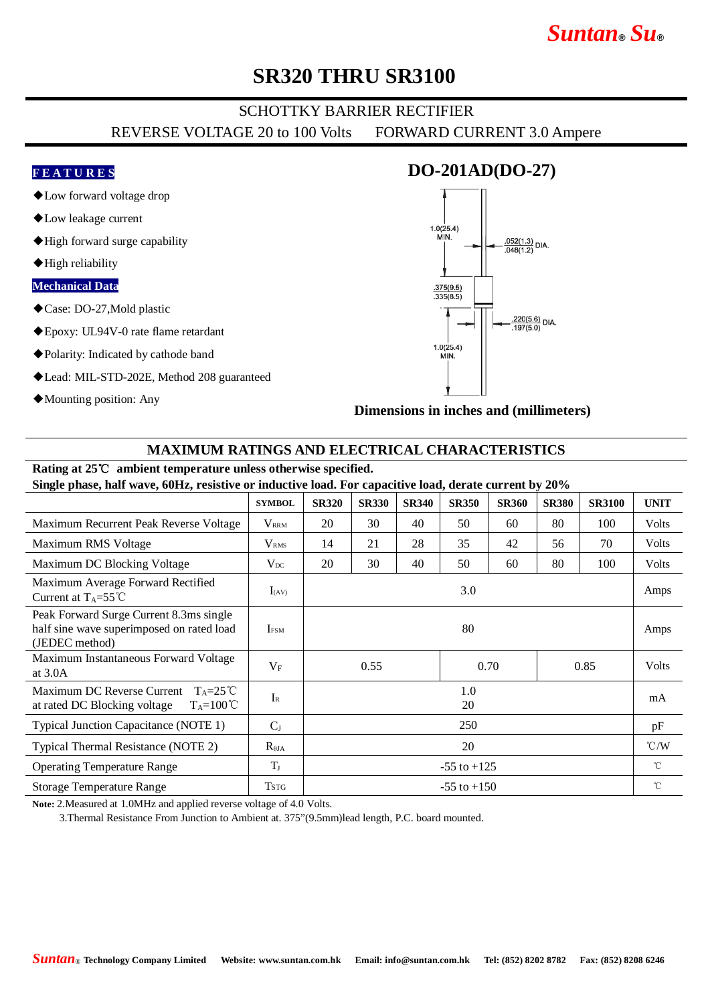# *Suntan***®** *Su***®**

### **SR320 THRU SR3100**

### SCHOTTKY BARRIER RECTIFIER

REVERSE VOLTAGE 20 to 100 Volts FORWARD CURRENT 3.0 Ampere

#### **F E A T U R E S**

- ◆Low forward voltage drop
- ◆Low leakage current
- ◆High forward surge capability
- ◆High reliability

#### **Mechanical Data**

- ◆Case: DO-27,Mold plastic
- ◆Epoxy: UL94V-0 rate flame retardant
- ◆Polarity: Indicated by cathode band
- ◆Lead: MIL-STD-202E, Method 208 guaranteed
- ◆Mounting position: Any



**Dimensions in inches and (millimeters)**

#### **MAXIMUM RATINGS AND ELECTRICAL CHARACTERISTICS**

# **Rating at 25**℃ **ambient temperature unless otherwise specified.**

**Single phase, half wave, 60Hz, resistive or inductive load. For capacitive load, derate current by 20%**

|                                                                                                        | <b>SYMBOL</b>           | <b>SR320</b>         | <b>SR330</b> | <b>SR340</b> | <b>SR350</b> | <b>SR360</b> | <b>SR380</b> | <b>SR3100</b> | <b>UNIT</b>   |
|--------------------------------------------------------------------------------------------------------|-------------------------|----------------------|--------------|--------------|--------------|--------------|--------------|---------------|---------------|
| Maximum Recurrent Peak Reverse Voltage                                                                 | $V_{\rm RRM}$           | 20                   | 30           | 40           | 50           | 60           | 80           | 100           | Volts         |
| Maximum RMS Voltage                                                                                    | <b>V</b> <sub>RMS</sub> | 14                   | 21           | 28           | 35           | 42           | 56           | 70            | Volts         |
| Maximum DC Blocking Voltage                                                                            | $V_{DC}$                | 20                   | 30           | 40           | 50           | 60           | 80           | 100           | Volts         |
| Maximum Average Forward Rectified<br>Current at $T_A = 55^{\circ}C$                                    | $I_{(AV)}$              | 3.0                  |              |              |              |              |              |               | Amps          |
| Peak Forward Surge Current 8.3ms single<br>half sine wave superimposed on rated load<br>(JEDEC method) | <b>IFSM</b>             | 80                   |              |              |              |              |              |               | Amps          |
| Maximum Instantaneous Forward Voltage<br>at $3.0A$                                                     | $V_{\rm F}$             | 0.55<br>0.70<br>0.85 |              |              |              |              | Volts        |               |               |
| Maximum DC Reverse Current<br>$T_A=25^{\circ}C$<br>at rated DC Blocking voltage<br>$T_A=100^{\circ}C$  | $I_{R}$                 | 1.0<br>20            |              |              |              |              |              |               | mA            |
| <b>Typical Junction Capacitance (NOTE 1)</b>                                                           | $C_{J}$                 | 250                  |              |              |              |              |              |               | pF            |
| Typical Thermal Resistance (NOTE 2)                                                                    | $R_{\theta JA}$         | 20                   |              |              |              |              |              |               | $\degree$ C/W |
| <b>Operating Temperature Range</b>                                                                     | $T_{\rm J}$             | $-55$ to $+125$      |              |              |              |              |              |               | $^{\circ}$ C  |
| <b>Storage Temperature Range</b>                                                                       | <b>TSTG</b>             | $-55$ to $+150$      |              |              |              |              |              |               | $^{\circ}$ C  |

**Note:** 2.Measured at 1.0MHz and applied reverse voltage of 4.0 Volts.

3.Thermal Resistance From Junction to Ambient at. 375"(9.5mm)lead length, P.C. board mounted.

### **DO-201AD(DO-27)**